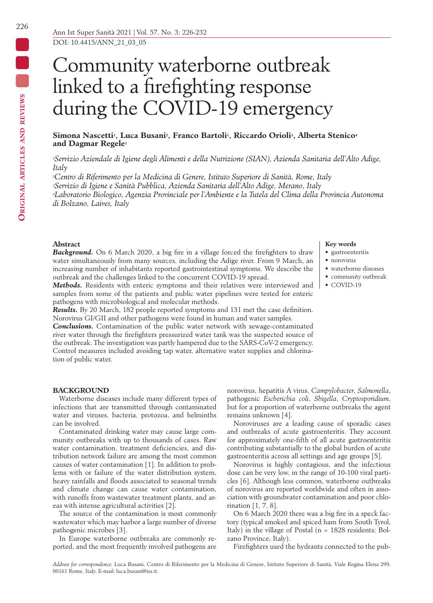# Community waterborne outbreak linked to a firefighting response during the COVID-19 emergency

## Simona Nascetti<sup>1</sup>, Luca Busani<sup>2</sup>, Franco Bartoli<sup>1</sup>, Riccardo Orioli<sup>3</sup>, Alberta Stenico<sup>4</sup> **and Dagmar Regele1**

*1Servizio Aziendale di Igiene degli Alimenti e della Nutrizione (SIAN), Azienda Sanitaria dell'Alto Adige, Italy*

*2Centro di Riferimento per la Medicina di Genere, Istituto Superiore di Sanità, Rome, Italy 3Servizio di Igiene e Sanità Pubblica, Azienda Sanitaria dell'Alto Adige, Merano, Italy 4Laboratorio Biologico, Agenzia Provinciale per l'Ambiente e la Tutela del Clima della Provincia Autonoma di Bolzano, Laives, Italy*

#### **Abstract**

*Background.* On 6 March 2020, a big fire in a village forced the firefighters to draw water simultaneously from many sources, including the Adige river. From 9 March, an increasing number of inhabitants reported gastrointestinal symptoms. We describe the outbreak and the challenges linked to the concurrent COVID-19 spread.

*Methods.* Residents with enteric symptoms and their relatives were interviewed and samples from some of the patients and public water pipelines were tested for enteric pathogens with microbiological and molecular methods.

*Results.* By 20 March, 182 people reported symptoms and 131 met the case definition. Norovirus GI/GII and other pathogens were found in human and water samples.

*Conclusions.* Contamination of the public water network with sewage-contaminated river water through the firefighters pressurized water tank was the suspected source of the outbreak. The investigation was partly hampered due to the SARS-CoV-2 emergency. Control measures included avoiding tap water, alternative water supplies and chlorination of public water.

#### **Key words** • gastroenteritis

- norovirus
- waterborne diseases
- community outbreak
- $\bullet$  COVID-19

## **BACKGROUND**

Waterborne diseases include many different types of infections that are transmitted through contaminated water and viruses, bacteria, protozoa, and helminths can be involved.

Contaminated drinking water may cause large community outbreaks with up to thousands of cases. Raw water contamination, treatment deficiencies, and distribution network failure are among the most common causes of water contamination [1]. In addition to problems with or failure of the water distribution system, heavy rainfalls and floods associated to seasonal trends and climate change can cause water contamination, with runoffs from wastewater treatment plants, and areas with intense agricultural activities [2].

The source of the contamination is most commonly wastewater which may harbor a large number of diverse pathogenic microbes [3].

In Europe waterborne outbreaks are commonly reported, and the most frequently involved pathogens are norovirus, hepatitis A virus, *Campylobacter*, *Salmonella*, pathogenic *Escherichia coli*, *Shigella*, *Cryptosporidium*, but for a proportion of waterborne outbreaks the agent remains unknown [4].

Noroviruses are a leading cause of sporadic cases and outbreaks of acute gastroenteritis. They account for approximately one-fifth of all acute gastroenteritis contributing substantially to the global burden of acute gastroenteritis across all settings and age groups [5].

Norovirus is highly contagious, and the infectious dose can be very low, in the range of 10-100 viral particles [6]. Although less common, waterborne outbreaks of norovirus are reported worldwide and often in association with groundwater contamination and poor chlorination [1, 7, 8].

On 6 March 2020 there was a big fire in a speck factory (typical smoked and spiced ham from South Tyrol, Italy) in the village of Postal (n = 1828 residents; Bolzano Province, Italy).

Firefighters used the hydrants connected to the pub-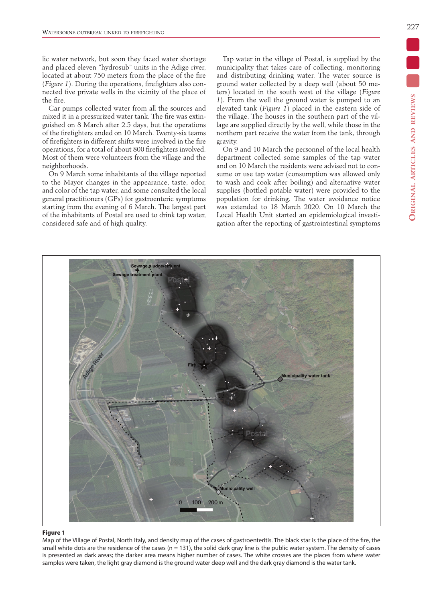lic water network, but soon they faced water shortage and placed eleven "hydrosub" units in the Adige river, located at about 750 meters from the place of the fire (*Figure 1*). During the operations, firefighters also connected five private wells in the vicinity of the place of the fire.

Car pumps collected water from all the sources and mixed it in a pressurized water tank. The fire was extinguished on 8 March after 2.5 days, but the operations of the firefighters ended on 10 March. Twenty-six teams of firefighters in different shifts were involved in the fire operations, for a total of about 800 firefighters involved. Most of them were volunteers from the village and the neighborhoods.

On 9 March some inhabitants of the village reported to the Mayor changes in the appearance, taste, odor, and color of the tap water, and some consulted the local general practitioners (GPs) for gastroenteric symptoms starting from the evening of 6 March. The largest part of the inhabitants of Postal are used to drink tap water, considered safe and of high quality.

Tap water in the village of Postal, is supplied by the municipality that takes care of collecting, monitoring and distributing drinking water. The water source is ground water collected by a deep well (about 50 meters) located in the south west of the village (*Figure 1*). From the well the ground water is pumped to an elevated tank (*Figure 1*) placed in the eastern side of the village. The houses in the southern part of the village are supplied directly by the well, while those in the northern part receive the water from the tank, through gravity.

On 9 and 10 March the personnel of the local health department collected some samples of the tap water and on 10 March the residents were advised not to consume or use tap water (consumption was allowed only to wash and cook after boiling) and alternative water supplies (bottled potable water) were provided to the population for drinking. The water avoidance notice was extended to 18 March 2020. On 10 March the Local Health Unit started an epidemiological investigation after the reporting of gastrointestinal symptoms



#### **Figure 1**

Map of the Village of Postal, North Italy, and density map of the cases of gastroenteritis. The black star is the place of the fire, the small white dots are the residence of the cases ( $n = 131$ ), the solid dark gray line is the public water system. The density of cases is presented as dark areas; the darker area means higher number of cases. The white crosses are the places from where water samples were taken, the light gray diamond is the ground water deep well and the dark gray diamond is the water tank.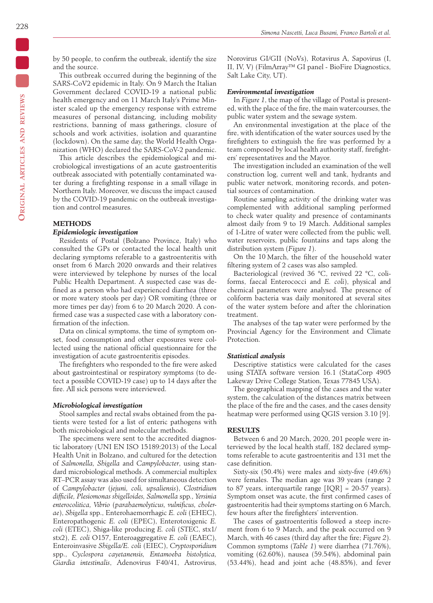by 50 people, to confirm the outbreak, identify the size and the source.

This outbreak occurred during the beginning of the SARS-CoV2 epidemic in Italy. On 9 March the Italian Government declared COVID-19 a national public health emergency and on 11 March Italy's Prime Minister scaled up the emergency response with extreme measures of personal distancing, including mobility restrictions, banning of mass gatherings, closure of schools and work activities, isolation and quarantine (lockdown). On the same day, the World Health Organization (WHO) declared the SARS-CoV-2 pandemic.

This article describes the epidemiological and microbiological investigations of an acute gastroenteritis outbreak associated with potentially contaminated water during a firefighting response in a small village in Northern Italy. Moreover, we discuss the impact caused by the COVID-19 pandemic on the outbreak investigation and control measures.

#### **METHODS**

## *Epidemiologic investigation*

Residents of Postal (Bolzano Province, Italy) who consulted the GPs or contacted the local health unit declaring symptoms referable to a gastroenteritis with onset from 6 March 2020 onwards and their relatives were interviewed by telephone by nurses of the local Public Health Department. A suspected case was defined as a person who had experienced diarrhea (three or more watery stools per day) OR vomiting (three or more times per day) from 6 to 20 March 2020. A confirmed case was a suspected case with a laboratory confirmation of the infection.

Data on clinical symptoms, the time of symptom onset, food consumption and other exposures were collected using the national official questionnaire for the investigation of acute gastroenteritis episodes.

The firefighters who responded to the fire were asked about gastrointestinal or respiratory symptoms (to detect a possible COVID-19 case) up to 14 days after the fire. All sick persons were interviewed.

#### *Microbiological investigation*

Stool samples and rectal swabs obtained from the patients were tested for a list of enteric pathogens with both microbiological and molecular methods.

The specimens were sent to the accredited diagnostic laboratory (UNI EN ISO 15189:2013) of the Local Health Unit in Bolzano, and cultured for the detection of *Salmonella, Shigella* and *Campylobacter*, using standard microbiological methods. A commercial multiplex RT–PCR assay was also used for simultaneous detection of *Campylobacter* (*jejuni, coli, upsaliensis*), *Clostridium difficile, Plesiomonas shigelloides, Salmonella* spp*., Yersinia enterocolitica, Vibrio* (*parahaemolyticus, vulnificus, cholerae*), *Shigella* spp., Enterohaemorrhagic *E. coli* (EHEC), Enteropathogenic *E. coli* (EPEC), Enterotoxigenic *E. coli* (ETEC), Shiga-like producing *E. coli* (STEC, stx1/ stx2), *E. coli* O157, Enteroaggregative *E. coli* (EAEC), Enteroinvasive *Shigella/E. coli* (EIEC), *Cryptosporidium* spp., *Cyclospora cayetanensis, Entamoeba histolytica, Giardia intestinalis*, Adenovirus F40/41, Astrovirus,

Norovirus GI/GII (NoVs), Rotavirus A, Sapovirus (I, II, IV, V) (FilmArray™ GI panel - BioFire Diagnostics, Salt Lake City, UT).

#### *Environmental investigation*

In *Figure 1*, the map of the village of Postal is presented, with the place of the fire, the main watercourses, the public water system and the sewage system.

An environmental investigation at the place of the fire, with identification of the water sources used by the firefighters to extinguish the fire was performed by a team composed by local health authority staff, firefighters' representatives and the Mayor.

The investigation included an examination of the well construction log, current well and tank, hydrants and public water network, monitoring records, and potential sources of contamination.

Routine sampling activity of the drinking water was complemented with additional sampling performed to check water quality and presence of contaminants almost daily from 9 to 19 March. Additional samples of 1-Litre of water were collected from the public well, water reservoirs, public fountains and taps along the distribution system (*Figure 1*).

On the 10 March, the filter of the household water filtering system of 2 cases was also sampled.

Bacteriological (revived 36 °C, revived 22 °C, coliforms, faecal Enterococci and *E. coli*), physical and chemical parameters were analysed. The presence of coliform bacteria was daily monitored at several sites of the water system before and after the chlorination treatment.

The analyses of the tap water were performed by the Provincial Agency for the Environment and Climate Protection.

## *Statistical analysis*

Descriptive statistics were calculated for the cases using STATA software version 16.1 (StataCorp 4905 Lakeway Drive College Station, Texas 77845 USA).

The geographical mapping of the cases and the water system, the calculation of the distances matrix between the place of the fire and the cases, and the cases density heatmap were performed using QGIS version 3.10 [9].

#### **RESULTS**

Between 6 and 20 March, 2020, 201 people were interviewed by the local health staff, 182 declared symptoms referable to acute gastroenteritis and 131 met the case definition.

Sixty-six (50.4%) were males and sixty-five (49.6%) were females. The median age was 39 years (range 2 to 87 years, interquartile range  $[IOR] = 20-57$  years). Symptom onset was acute, the first confirmed cases of gastroenteritis had their symptoms starting on 6 March, few hours after the firefighters' intervention.

The cases of gastroenteritis followed a steep increment from 6 to 9 March, and the peak occurred on 9 March, with 46 cases (third day after the fire; *Figure 2*). Common symptoms (*Table 1*) were diarrhea (71.76%), vomiting (62.60%), nausea (59.54%), abdominal pain (53.44%), head and joint ache (48.85%), and fever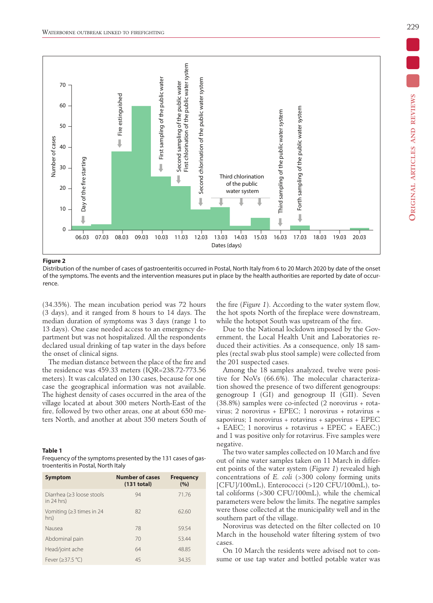

**Figure 2**

Distribution of the number of cases of gastroenteritis occurred in Postal, North Italy from 6 to 20 March 2020 by date of the onset of the symptoms. The events and the intervention measures put in place by the health authorities are reported by date of occurrence.

(34.35%). The mean incubation period was 72 hours (3 days), and it ranged from 8 hours to 14 days. The median duration of symptoms was 3 days (range 1 to 13 days). One case needed access to an emergency department but was not hospitalized. All the respondents declared usual drinking of tap water in the days before the onset of clinical signs.

The median distance between the place of the fire and the residence was 459.33 meters (IQR=238.72-773.56 meters). It was calculated on 130 cases, because for one case the geographical information was not available. The highest density of cases occurred in the area of the village located at about 300 meters North-East of the fire, followed by two other areas, one at about 650 meters North, and another at about 350 meters South of

#### **Table 1**

Frequency of the symptoms presented by the 131 cases of gastroenteritis in Postal, North Italy

| <b>Symptom</b>                            | <b>Number of cases</b><br>(131 total) | <b>Frequency</b><br>(%) |
|-------------------------------------------|---------------------------------------|-------------------------|
| Diarrhea (≥3 loose stools<br>in $24$ hrs) | 94                                    | 71.76                   |
| Vomiting ( $\geq$ 3 times in 24<br>hrs)   | 82                                    | 62.60                   |
| Nausea                                    | 78                                    | 59.54                   |
| Abdominal pain                            | 70                                    | 53.44                   |
| Head/joint ache                           | 64                                    | 48.85                   |
| Fever (≥37.5 °C)                          | 45                                    | 34.35                   |

the fire (*Figure 1*). According to the water system flow, the hot spots North of the fireplace were downstream, while the hotspot South was upstream of the fire.

Due to the National lockdown imposed by the Government, the Local Health Unit and Laboratories reduced their activities. As a consequence, only 18 samples (rectal swab plus stool sample) were collected from the 201 suspected cases.

Among the 18 samples analyzed, twelve were positive for NoVs (66.6%). The molecular characterization showed the presence of two different genogroups: genogroup I (GI) and genogroup II (GII). Seven (38.8%) samples were co-infected (2 norovirus + rotavirus; 2 norovirus + EPEC; 1 norovirus + rotavirus + sapovirus; 1 norovirus + rotavirus + sapovirus + EPEC + EAEC; 1 norovirus + rotavirus + EPEC + EAEC;) and 1 was positive only for rotavirus. Five samples were negative.

The two water samples collected on 10 March and five out of nine water samples taken on 11 March in different points of the water system (*Figure 1*) revealed high concentrations of *E. coli* (>300 colony forming units [CFU]/100mL), Enterococci (>120 CFU/100mL), total coliforms (>300 CFU/100mL), while the chemical parameters were below the limits. The negative samples were those collected at the municipality well and in the southern part of the village.

Norovirus was detected on the filter collected on 10 March in the household water filtering system of two cases.

On 10 March the residents were advised not to consume or use tap water and bottled potable water was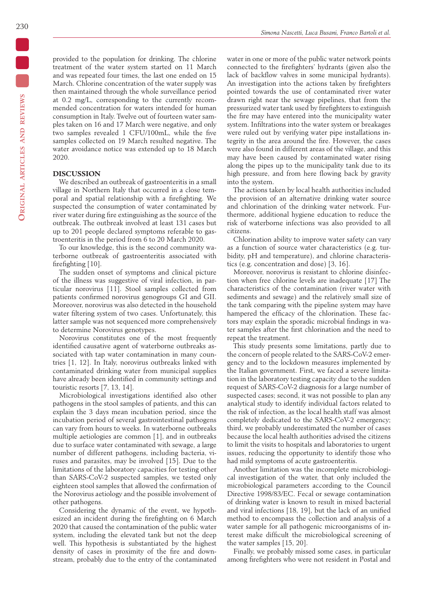provided to the population for drinking. The chlorine treatment of the water system started on 11 March and was repeated four times, the last one ended on 15 March. Chlorine concentration of the water supply was then maintained through the whole surveillance period at 0.2 mg/L, corresponding to the currently recommended concentration for waters intended for human consumption in Italy. Twelve out of fourteen water samples taken on 16 and 17 March were negative, and only two samples revealed 1 CFU/100mL, while the five samples collected on 19 March resulted negative. The water avoidance notice was extended up to 18 March 2020.

## **DISCUSSION**

We described an outbreak of gastroenteritis in a small village in Northern Italy that occurred in a close temporal and spatial relationship with a firefighting. We suspected the consumption of water contaminated by river water during fire extinguishing as the source of the outbreak. The outbreak involved at least 131 cases but up to 201 people declared symptoms referable to gastroenteritis in the period from 6 to 20 March 2020.

To our knowledge, this is the second community waterborne outbreak of gastroenteritis associated with firefighting [10].

The sudden onset of symptoms and clinical picture of the illness was suggestive of viral infection, in particular norovirus [11]. Stool samples collected from patients confirmed norovirus genogroups GI and GII. Moreover, norovirus was also detected in the household water filtering system of two cases. Unfortunately, this latter sample was not sequenced more comprehensively to determine Norovirus genotypes.

Norovirus constitutes one of the most frequently identified causative agent of waterborne outbreaks associated with tap water contamination in many countries [1, 12]. In Italy, norovirus outbreaks linked with contaminated drinking water from municipal supplies have already been identified in community settings and touristic resorts [7, 13, 14].

Microbiological investigations identified also other pathogens in the stool samples of patients, and this can explain the 3 days mean incubation period, since the incubation period of several gastrointestinal pathogens can vary from hours to weeks. In waterborne outbreaks multiple aetiologies are common [1], and in outbreaks due to surface water contaminated with sewage, a large number of different pathogens, including bacteria, viruses and parasites, may be involved [15]. Due to the limitations of the laboratory capacities for testing other than SARS-CoV-2 suspected samples, we tested only eighteen stool samples that allowed the confirmation of the Norovirus aetiology and the possible involvement of other pathogens.

Considering the dynamic of the event, we hypothesized an incident during the firefighting on 6 March 2020 that caused the contamination of the public water system, including the elevated tank but not the deep well. This hypothesis is substantiated by the highest density of cases in proximity of the fire and downstream, probably due to the entry of the contaminated water in one or more of the public water network points connected to the firefighters' hydrants (given also the lack of backflow valves in some municipal hydrants). An investigation into the actions taken by firefighters pointed towards the use of contaminated river water drawn right near the sewage pipelines, that from the pressurized water tank used by firefighters to extinguish the fire may have entered into the municipality water system. Infiltrations into the water system or breakages were ruled out by verifying water pipe installations integrity in the area around the fire. However, the cases were also found in different areas of the village, and this may have been caused by contaminated water rising along the pipes up to the municipality tank due to its high pressure, and from here flowing back by gravity into the system.

The actions taken by local health authorities included the provision of an alternative drinking water source and chlorination of the drinking water network. Furthermore, additional hygiene education to reduce the risk of waterborne infections was also provided to all citizens.

Chlorination ability to improve water safety can vary as a function of source water characteristics (e.g. turbidity, pH and temperature), and chlorine characteristics (e.g. concentration and dose) [3, 16].

Moreover, norovirus is resistant to chlorine disinfection when free chlorine levels are inadequate [17] The characteristics of the contamination (river water with sediments and sewage) and the relatively small size of the tank comparing with the pipeline system may have hampered the efficacy of the chlorination. These factors may explain the sporadic microbial findings in water samples after the first chlorination and the need to repeat the treatment.

This study presents some limitations, partly due to the concern of people related to the SARS-CoV-2 emergency and to the lockdown measures implemented by the Italian government. First, we faced a severe limitation in the laboratory testing capacity due to the sudden request of SARS-CoV-2 diagnosis for a large number of suspected cases; second, it was not possible to plan any analytical study to identify individual factors related to the risk of infection, as the local health staff was almost completely dedicated to the SARS-CoV-2 emergency; third, we probably underestimated the number of cases because the local health authorities advised the citizens to limit the visits to hospitals and laboratories to urgent issues, reducing the opportunity to identify those who had mild symptoms of acute gastroenteritis.

Another limitation was the incomplete microbiological investigation of the water, that only included the microbiological parameters according to the Council Directive 1998/83/EC. Fecal or sewage contamination of drinking water is known to result in mixed bacterial and viral infections [18, 19], but the lack of an unified method to encompass the collection and analysis of a water sample for all pathogenic microorganisms of interest make difficult the microbiological screening of the water samples [15, 20].

Finally, we probably missed some cases, in particular among firefighters who were not resident in Postal and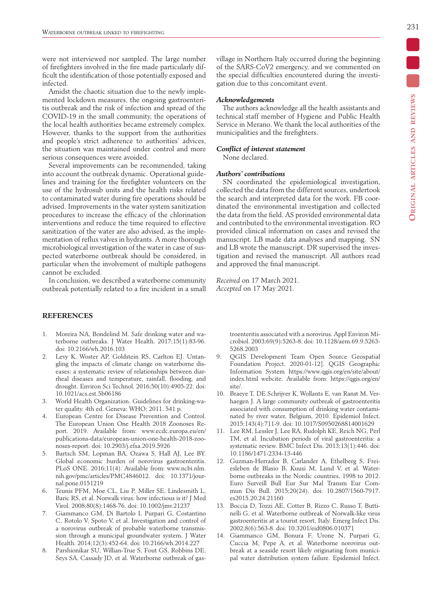were not interviewed nor sampled. The large number of firefighters involved in the fire made particularly difficult the identification of those potentially exposed and infected.

Amidst the chaotic situation due to the newly implemented lockdown measures, the ongoing gastroenteritis outbreak and the risk of infection and spread of the COVID-19 in the small community, the operations of the local health authorities became extremely complex. However, thanks to the support from the authorities and people's strict adherence to authorities' advices, the situation was maintained under control and more serious consequences were avoided.

Several improvements can be recommended, taking into account the outbreak dynamic. Operational guidelines and training for the firefighter volunteers on the use of the hydrosub units and the health risks related to contaminated water during fire operations should be advised. Improvements in the water system sanitization procedures to increase the efficacy of the chlorination interventions and reduce the time required to effective sanitization of the water are also advised, as the implementation of reflux valves in hydrants. A more thorough microbiological investigation of the water in case of suspected waterborne outbreak should be considered, in particular when the involvement of multiple pathogens cannot be excluded.

In conclusion, we described a waterborne community outbreak potentially related to a fire incident in a small

## **REFERENCES**

- 1. Moreira NA, Bondelind M. Safe drinking water and waterborne outbreaks. J Water Health. 2017;15(1):83-96. doi: 10.2166/wh.2016.103
- 2. Levy K, Woster AP, Goldstein RS, Carlton EJ. Untangling the impacts of climate change on waterborne diseases: a systematic review of relationships between diarrheal diseases and temperature, rainfall, flooding, and drought. Environ Sci Technol. 2016;50(10):4905-22. doi: 10.1021/acs.est.5b06186
- 3. World Health Organization. Guidelines for drinking-water quality. 4th ed. Geneva: WHO; 2011. 541 p.
- 4. European Centre for Disease Prevention and Control. The European Union One Health 2018 Zoonoses Report. 2019. Available from: www.ecdc.europa.eu/en/ publications-data/european-union-one-health-2018-zoonoses-report. doi: 10.2903/j.efsa.2019.5926
- 5. Bartsch SM, Lopman BA, Ozawa S, Hall AJ, Lee BY. Global economic burden of norovirus gastroenteritis. PLoS ONE. 2016;11(4). Available from: www.ncbi.nlm. nih.gov/pmc/articles/PMC4846012. doi: 10.1371/journal.pone.0151219
- 6. Teunis PFM, Moe CL, Liu P, Miller SE, Lindesmith L, Baric RS, et al. Norwalk virus: how infectious is it? J Med Virol. 2008;80(8):1468-76. doi: 10.1002/jmv.21237
- 7. Giammanco GM, Di Bartolo I, Purpari G, Costantino C, Rotolo V, Spoto V, et al. Investigation and control of a norovirus outbreak of probable waterborne transmission through a municipal groundwater system. J Water Health. 2014;12(3):452-64. doi: 10.2166/wh.2014.227
- 8. Parshionikar SU, Willian-True S, Fout GS, Robbins DE, Seys SA, Cassady JD, et al. Waterborne outbreak of gas-

village in Northern Italy occurred during the beginning of the SARS-CoV2 emergency, and we commented on the special difficulties encountered during the investigation due to this concomitant event.

#### *Acknowledgements*

The authors acknowledge all the health assistants and technical staff member of Hygiene and Public Health Service in Merano. We thank the local authorities of the municipalities and the firefighters.

## *Conflict of interest statement*

None declared.

## *Authors' contributions*

SN coordinated the epidemiological investigation, collected the data from the different sources, undertook the search and interpreted data for the work. FB coordinated the environmental investigation and collected the data from the field. AS provided environmental data and contributed to the environmental investigation. RO provided clinical information on cases and revised the manuscript. LB made data analyses and mapping. SN and LB wrote the manuscript. DR supervised the investigation and revised the manuscript. All authors read and approved the final manuscript.

*Received* on 17 March 2021. *Accepted* on 17 May 2021.

> troenteritis associated with a norovirus. Appl Environ Microbiol. 2003;69(9):5263-8. doi: 10.1128/aem.69.9.5263- 5268.2003

- 9. QGIS Development Team Open Source Geospatial Foundation Project. 2020-01-12]. QGIS Geographic Information System https://www.qgis.org/en/site/about/ index.html webcite. Available from: https://qgis.org/en/ site/.
- 10. Braeye T, DE Schrijver K, Wollants E, van Ranst M, Verhaegen J. A large community outbreak of gastroenteritis associated with consumption of drinking water contaminated by river water, Belgium, 2010. Epidemiol Infect. 2015;143(4):711-9. doi: 10.1017/S0950268814001629
- 11. Lee RM, Lessler J, Lee RA, Rudolph KE, Reich NG, Perl TM, et al. Incubation periods of viral gastroenteritis: a systematic review. BMC Infect Dis. 2013;13(1):446. doi: 10.1186/1471-2334-13-446
- 12. Guzman-Herrador B, Carlander A, Ethelberg S, Freiesleben de Blasio B, Kuusi M, Lund V, et al. Waterborne outbreaks in the Nordic countries, 1998 to 2012. Euro Surveill Bull Eur Sur Mal Transm Eur Commun Dis Bull. 2015;20(24). doi: 10.2807/1560-7917. es2015.20.24.21160
- 13. Boccia D, Tozzi AE, Cotter B, Rizzo C, Russo T, Buttinelli G, et al. Waterborne outbreak of Norwalk-like virus gastroenteritis at a tourist resort, Italy. Emerg Infect Dis. 2002;8(6):563-8. doi: 10.3201/eid0806.010371
- 14. Giammanco GM, Bonura F, Urone N, Purpari G, Cuccia M, Pepe A, et al. Waterborne norovirus outbreak at a seaside resort likely originating from municipal water distribution system failure. Epidemiol Infect.